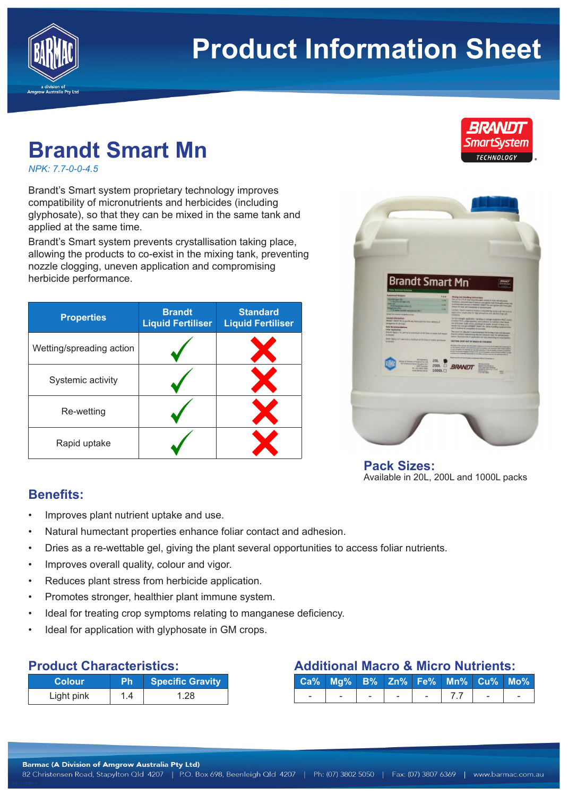

# **Product Information Sheet**

# **Brandt Smart Mn**

*NPK: 7.7-0-0-4.5*

Brandt's Smart system proprietary technology improves compatibility of micronutrients and herbicides (including glyphosate), so that they can be mixed in the same tank and applied at the same time.

Brandt's Smart system prevents crystallisation taking place, allowing the products to co-exist in the mixing tank, preventing nozzle clogging, uneven application and compromising herbicide performance.

| <b>Properties</b>        | <b>Brandt</b><br><b>Liquid Fertiliser</b> | <b>Standard</b><br><b>Liquid Fertiliser</b> |
|--------------------------|-------------------------------------------|---------------------------------------------|
| Wetting/spreading action |                                           |                                             |
| Systemic activity        |                                           |                                             |
| Re-wetting               |                                           |                                             |
| Rapid uptake             |                                           |                                             |



**Pack Sizes:** Available in 20L, 200L and 1000L packs

### **Benefits:**

- Improves plant nutrient uptake and use.
- Natural humectant properties enhance foliar contact and adhesion.
- Dries as a re-wettable gel, giving the plant several opportunities to access foliar nutrients.
- Improves overall quality, colour and vigor.
- Reduces plant stress from herbicide application.
- Promotes stronger, healthier plant immune system.
- Ideal for treating crop symptoms relating to manganese deficiency.
- Ideal for application with glyphosate in GM crops.

#### **Product Characteristics:**

| <b>Colour</b> | Ph  | <b>Specific Gravity</b> |
|---------------|-----|-------------------------|
| Light pink    | 1.4 | 1.28                    |

# **Additional Macro & Micro Nutrients:**

|  |  | Ca% Mg% B% Zn% Fe% Mn% Cu% Mo% |  |
|--|--|--------------------------------|--|
|  |  | $1 - 7.7$                      |  |